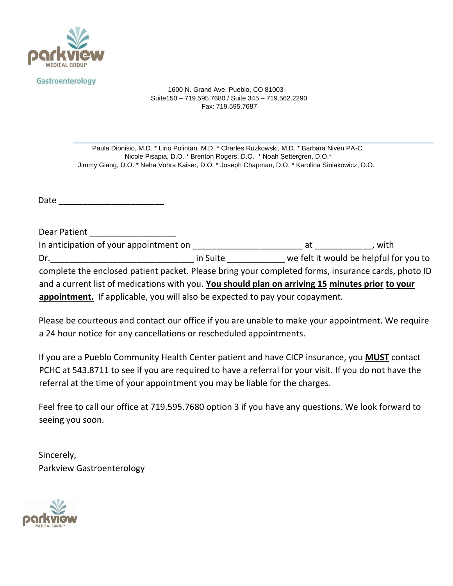

Gastroenterology

1600 N. Grand Ave, Pueblo, CO 81003 Suite150 – 719.595.7680 / Suite 345 – 719.562.2290 Fax: 719.595.7687

Paula Dionisio, M.D. \* Lirio Polintan, M.D. \* Charles Ruzkowski, M.D. \* Barbara Niven PA-C Nicole Pisapia, D.O. \* Brenton Rogers, D.O. \* Noah Settergren, D.O.\* Jimmy Giang, D.O. \* Neha Vohra Kaiser, D.O. \* Joseph Chapman, D.O. \* Karolina Siniakowicz, D.O.

Date \_\_\_\_\_\_\_\_\_\_\_\_\_\_\_\_\_\_\_\_\_\_

| Dear Patient                                                                                       |          |                                        |        |
|----------------------------------------------------------------------------------------------------|----------|----------------------------------------|--------|
| In anticipation of your appointment on                                                             |          | at                                     | . with |
| Dr.                                                                                                | in Suite | we felt it would be helpful for you to |        |
| complete the enclosed patient packet. Please bring your completed forms, insurance cards, photo ID |          |                                        |        |
| and a current list of medications with you. You should plan on arriving 15 minutes prior to your   |          |                                        |        |
| appointment. If applicable, you will also be expected to pay your copayment.                       |          |                                        |        |

Please be courteous and contact our office if you are unable to make your appointment. We require a 24 hour notice for any cancellations or rescheduled appointments.

If you are a Pueblo Community Health Center patient and have CICP insurance, you **MUST** contact PCHC at 543.8711 to see if you are required to have a referral for your visit. If you do not have the referral at the time of your appointment you may be liable for the charges.

Feel free to call our office at 719.595.7680 option 3 if you have any questions. We look forward to seeing you soon.

Sincerely, Parkview Gastroenterology

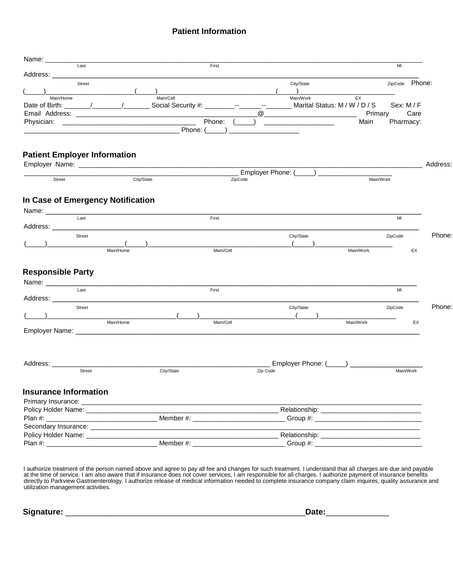#### **Patient Information**

| Last                                                  |            | First                              |                                                                                                                      |                                   | MI             |          |
|-------------------------------------------------------|------------|------------------------------------|----------------------------------------------------------------------------------------------------------------------|-----------------------------------|----------------|----------|
| Address: _____                                        |            |                                    |                                                                                                                      |                                   |                |          |
| Street                                                |            |                                    | City/State                                                                                                           |                                   | ZipCode Phone: |          |
| Main/Home                                             | Main/Cell  |                                    | Main/Work                                                                                                            | EX                                |                |          |
| Date of Birth: $\sqrt{2}$                             |            | Social Security #: _________---__- | <b>ARCHITECT</b>                                                                                                     | Marital Status: M / W / D / S     | Sex: M/F       |          |
|                                                       |            |                                    | $^{\textregistered}$                                                                                                 | Primary                           | Care           |          |
|                                                       |            | Phone:                             | <u> 1989 - Johann John Stein, market französischer Kanadischer Kanadischer Kanadischer Kanadischer Kanadischer K</u> | Main                              | Pharmacy:      |          |
|                                                       |            | Phone: (                           |                                                                                                                      |                                   |                |          |
| <b>Patient Employer Information</b>                   |            |                                    |                                                                                                                      |                                   |                | Address: |
|                                                       |            |                                    | Employer Phone: (                                                                                                    |                                   |                |          |
| Street                                                | City/State |                                    | ZipCode                                                                                                              | Main/Work                         |                |          |
|                                                       |            |                                    |                                                                                                                      |                                   |                |          |
| In Case of Emergency Notification                     |            |                                    |                                                                                                                      |                                   |                |          |
| Name: ______________                                  |            |                                    |                                                                                                                      |                                   |                |          |
| Last                                                  |            | First                              |                                                                                                                      |                                   | MI             |          |
| Address:                                              |            |                                    |                                                                                                                      |                                   |                |          |
| <b>Street</b>                                         |            |                                    | City/State                                                                                                           |                                   | ZipCode        | Phone:   |
|                                                       |            |                                    |                                                                                                                      |                                   |                |          |
|                                                       | Main/Home  | Main/Cell                          |                                                                                                                      | Main/Work                         | EX             |          |
|                                                       |            |                                    |                                                                                                                      |                                   |                |          |
| <b>Responsible Party</b><br>Name: ___________<br>Last |            | First                              |                                                                                                                      |                                   | MI             |          |
| Address: ___                                          |            |                                    |                                                                                                                      |                                   |                |          |
| Street                                                |            |                                    | City/State                                                                                                           |                                   | ZipCode        | Phone:   |
|                                                       |            |                                    |                                                                                                                      |                                   |                |          |
|                                                       | Main/Home  | Main/Cell                          |                                                                                                                      | Main/Work                         | EX             |          |
| Address: ____________                                 |            |                                    |                                                                                                                      | Employer Phone: (_____) _________ |                |          |
| Street                                                |            | City/State                         | Zip Code                                                                                                             |                                   | Main/Work      |          |
| <b>Insurance Information</b>                          |            |                                    |                                                                                                                      |                                   |                |          |
| Primary Insurance: __________                         |            |                                    |                                                                                                                      |                                   |                |          |
| Policy Holder Name: ______________                    |            |                                    |                                                                                                                      |                                   |                |          |
|                                                       |            |                                    | Member #: ____________________________Group #: _________________________________                                     |                                   |                |          |
|                                                       |            |                                    |                                                                                                                      |                                   |                |          |
|                                                       |            |                                    |                                                                                                                      |                                   |                |          |

I authorize treatment of the person named above and agree to pay all fee and changes for such treatment. I understand that all charges are due and payable at the time of service. I am also aware that if insurance does not cover services, I am responsible for all charges. I authorize payment of insurance benefits directly to Parkview Gastroenterology. I authorize release of medical information needed to complete insurance company claim inquires, quality assurance and utilization management activities.

**Signature:** \_\_\_\_\_\_\_\_\_\_\_\_\_\_\_\_\_\_\_\_\_\_\_\_\_\_\_\_\_\_\_\_\_\_\_\_\_\_\_\_\_\_\_\_\_\_\_\_\_\_\_\_\_**Date:**\_\_\_\_\_\_\_\_\_\_\_\_\_\_

| .<br>₩.<br>υαισ. |  |
|------------------|--|
|                  |  |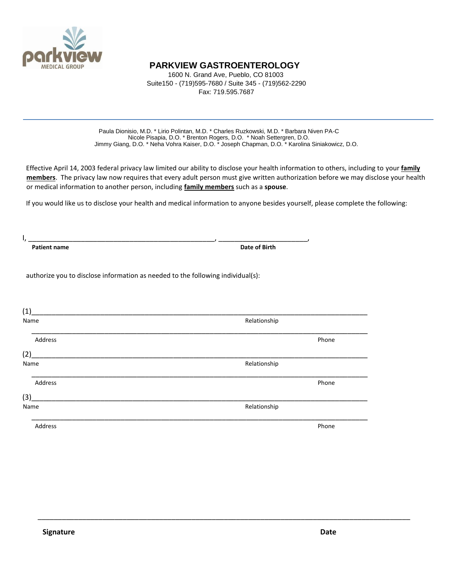

### **PARKVIEW GASTROENTEROLOGY**

1600 N. Grand Ave, Pueblo, CO 81003 Suite150 - (719)595-7680 / Suite 345 - (719)562-2290 Fax: 719.595.7687

Paula Dionisio, M.D. \* Lirio Polintan, M.D. \* Charles Ruzkowski, M.D. \* Barbara Niven PA-C Nicole Pisapia, D.O. \* Brenton Rogers, D.O. \* Noah Settergren, D.O. Jimmy Giang, D.O. \* Neha Vohra Kaiser, D.O. \* Joseph Chapman, D.O. \* Karolina Siniakowicz, D.O.

Effective April 14, 2003 federal privacy law limited our ability to disclose your health information to others, including to your **family members**. The privacy law now requires that every adult person must give written authorization before we may disclose your health or medical information to another person, including **family members** such as a **spouse**.

If you would like us to disclose your health and medical information to anyone besides yourself, please complete the following:

I, \_\_\_\_\_\_\_\_\_\_\_\_\_\_\_\_\_\_\_\_\_\_\_\_\_\_\_\_\_\_\_\_\_\_\_\_\_\_\_\_\_\_\_\_\_\_, \_\_\_\_\_\_\_\_\_\_\_\_\_\_\_\_\_\_\_\_\_\_,

**Patient name Date of Birth Patient name Date of Birth Date of Birth Date of Birth** 

authorize you to disclose information as needed to the following individual(s):

| (1)     |              |
|---------|--------------|
| Name    | Relationship |
| Address | Phone        |
| (2)     |              |
| Name    | Relationship |
| Address | Phone        |
| (3)     |              |
| Name    | Relationship |
| Address | Phone        |

\_\_\_\_\_\_\_\_\_\_\_\_\_\_\_\_\_\_\_\_\_\_\_\_\_\_\_\_\_\_\_\_\_\_\_\_\_\_\_\_\_\_\_\_\_\_\_\_\_\_\_\_\_\_\_\_\_\_\_\_\_\_\_\_\_\_\_\_\_\_\_\_\_\_\_\_\_\_\_\_\_\_\_\_\_\_\_\_\_\_\_\_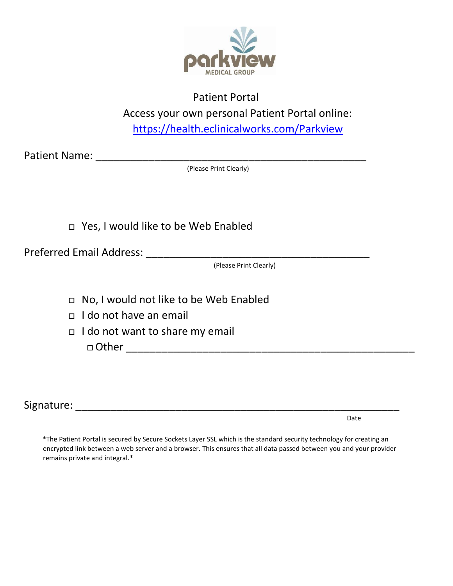

## Patient Portal

Access your own personal Patient Portal online:

<https://health.eclinicalworks.com/Parkview>

Patient Name: \_\_\_\_\_\_\_\_\_\_\_\_\_\_\_\_\_\_\_\_\_\_\_\_\_\_\_\_\_\_\_\_\_\_\_\_\_\_\_\_\_\_\_\_\_\_

(Please Print Clearly)

Yes, I would like to be Web Enabled

Preferred Email Address: \_\_\_\_\_\_\_\_\_\_\_\_\_\_\_\_\_\_\_\_\_\_\_\_\_\_\_\_\_\_\_\_\_\_\_\_\_\_

(Please Print Clearly)

- No, I would not like to be Web Enabled
- I do not have an email
- I do not want to share my email  $\Box$  Other  $\Box$

Signature: \_\_\_\_\_\_\_\_\_\_\_\_\_\_\_\_\_\_\_\_\_\_\_\_\_\_\_\_\_\_\_\_\_\_\_\_\_\_\_\_\_\_\_\_\_\_\_\_\_\_\_\_\_\_\_

discussion of the contract of the contract of the contract of the contract of the contract of the contract of the contract of the contract of the contract of the contract of the contract of the contract of the contract of

\*The Patient Portal is secured by Secure Sockets Layer SSL which is the standard security technology for creating an encrypted link between a web server and a browser. This ensures that all data passed between you and your provider remains private and integral.\*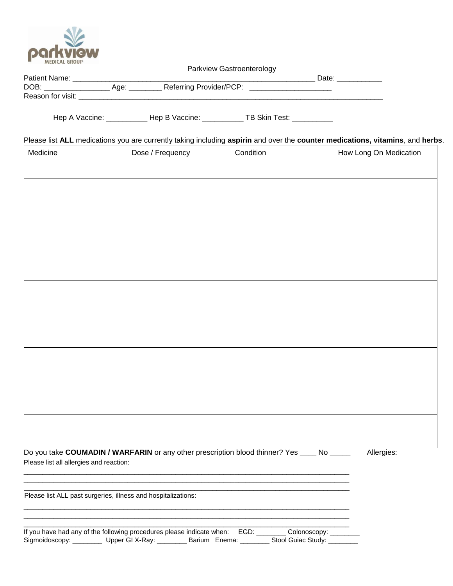

Parkview Gastroenterology

| <b>Dotic</b>           |               |                               |  |
|------------------------|---------------|-------------------------------|--|
| <b>DOE</b>             | $\sim$<br>1uc | Referring<br>Provider/P(<br>٠ |  |
| Reason<br>visit<br>TOI |               |                               |  |

Hep A Vaccine: \_\_\_\_\_\_\_\_\_\_\_\_ Hep B Vaccine: \_\_\_\_\_\_\_\_\_\_\_ TB Skin Test: \_\_\_\_\_\_\_\_\_\_\_

| Please list ALL medications you are currently taking including aspirin and over the counter medications, vitamins, and herbs. |  |  |  |  |  |  |
|-------------------------------------------------------------------------------------------------------------------------------|--|--|--|--|--|--|
|-------------------------------------------------------------------------------------------------------------------------------|--|--|--|--|--|--|

| Medicine                                | Dose / Frequency                                                                          | Condition | How Long On Medication |
|-----------------------------------------|-------------------------------------------------------------------------------------------|-----------|------------------------|
|                                         |                                                                                           |           |                        |
|                                         |                                                                                           |           |                        |
|                                         |                                                                                           |           |                        |
|                                         |                                                                                           |           |                        |
|                                         |                                                                                           |           |                        |
|                                         |                                                                                           |           |                        |
|                                         |                                                                                           |           |                        |
|                                         |                                                                                           |           |                        |
|                                         |                                                                                           |           |                        |
|                                         |                                                                                           |           |                        |
|                                         |                                                                                           |           |                        |
|                                         |                                                                                           |           |                        |
|                                         |                                                                                           |           |                        |
|                                         |                                                                                           |           |                        |
|                                         |                                                                                           |           |                        |
|                                         |                                                                                           |           |                        |
|                                         |                                                                                           |           |                        |
| Please list all allergies and reaction: | Do you take COUMADIN / WARFARIN or any other prescription blood thinner? Yes ____ No ____ |           | Allergies:             |

\_\_\_\_\_\_\_\_\_\_\_\_\_\_\_\_\_\_\_\_\_\_\_\_\_\_\_\_\_\_\_\_\_\_\_\_\_\_\_\_\_\_\_\_\_\_\_\_\_\_\_\_\_\_\_\_\_\_\_\_\_\_\_\_\_\_\_\_\_\_\_\_\_\_\_\_\_\_\_\_\_\_\_\_\_\_\_\_

Please list ALL past surgeries, illness and hospitalizations:

| If you have had any of the following procedures please indicate when: EGD: _____ |               | Colonoscopy:       |  |
|----------------------------------------------------------------------------------|---------------|--------------------|--|
| Sigmoidoscopy: __________ Upper GI X-Ray:                                        | Barium Enema: | Stool Guiac Study: |  |

\_\_\_\_\_\_\_\_\_\_\_\_\_\_\_\_\_\_\_\_\_\_\_\_\_\_\_\_\_\_\_\_\_\_\_\_\_\_\_\_\_\_\_\_\_\_\_\_\_\_\_\_\_\_\_\_\_\_\_\_\_\_\_\_\_\_\_\_\_\_\_\_\_\_\_\_\_\_\_\_\_\_\_\_\_\_\_\_ \_\_\_\_\_\_\_\_\_\_\_\_\_\_\_\_\_\_\_\_\_\_\_\_\_\_\_\_\_\_\_\_\_\_\_\_\_\_\_\_\_\_\_\_\_\_\_\_\_\_\_\_\_\_\_\_\_\_\_\_\_\_\_\_\_\_\_\_\_\_\_\_\_\_\_\_\_\_\_\_\_\_\_\_\_\_\_\_

\_\_\_\_\_\_\_\_\_\_\_\_\_\_\_\_\_\_\_\_\_\_\_\_\_\_\_\_\_\_\_\_\_\_\_\_\_\_\_\_\_\_\_\_\_\_\_\_\_\_\_\_\_\_\_\_\_\_\_\_\_\_\_\_\_\_\_\_\_\_\_\_\_\_\_\_\_\_\_\_\_\_\_\_\_\_\_\_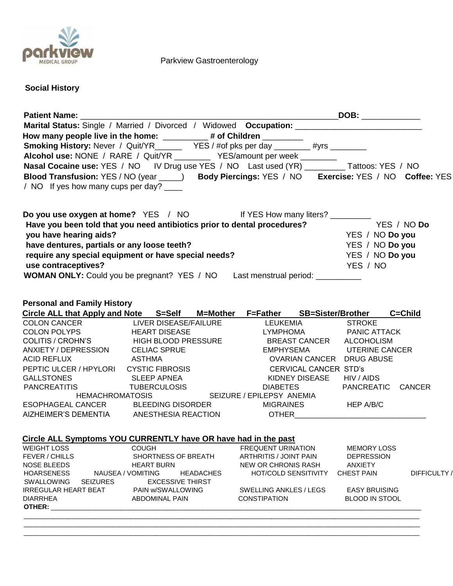

Parkview Gastroenterology

# **Social History**

|                                                                                                                                                                 |                         | Marital Status: Single / Married / Divorced / Widowed Occupation: __________________________________ |                                         |              |
|-----------------------------------------------------------------------------------------------------------------------------------------------------------------|-------------------------|------------------------------------------------------------------------------------------------------|-----------------------------------------|--------------|
| How many people live in the home: _________# of Children ________                                                                                               |                         |                                                                                                      |                                         |              |
| now many people live in the nome: ___________# or Gilliuren __________<br>Smoking History: Never / Quit/YR_________YES / #of pks per day ________#yrs _________ |                         |                                                                                                      |                                         |              |
| Alcohol use: NONE / RARE / Quit/YR ___________ YES/amount per week ________                                                                                     |                         |                                                                                                      |                                         |              |
| Nasal Cocaine use: YES / NO IV Drug use YES / NO Last used (YR) Tattoos: YES / NO                                                                               |                         |                                                                                                      |                                         |              |
| Blood Transfusion: YES / NO (year ____) Body Piercings: YES / NO Exercise: YES / NO Coffee: YES                                                                 |                         |                                                                                                      |                                         |              |
| / NO If yes how many cups per day? _____                                                                                                                        |                         |                                                                                                      |                                         |              |
|                                                                                                                                                                 |                         |                                                                                                      |                                         |              |
| Do you use oxygen at home? YES / NO If YES How many liters?                                                                                                     |                         |                                                                                                      |                                         |              |
| Have you been told that you need antibiotics prior to dental procedures?                                                                                        |                         |                                                                                                      | YES / NO Do                             |              |
| you have hearing aids?                                                                                                                                          |                         |                                                                                                      | YES / NO Do you                         |              |
| have dentures, partials or any loose teeth?                                                                                                                     |                         |                                                                                                      | YES / NO Do you                         |              |
| require any special equipment or have special needs?                                                                                                            |                         |                                                                                                      | YES / NO Do you                         |              |
| use contraceptives?                                                                                                                                             |                         |                                                                                                      | YES / NO                                |              |
| <b>WOMAN ONLY:</b> Could you be pregnant? YES / NO Last menstrual period: ___________                                                                           |                         |                                                                                                      |                                         |              |
|                                                                                                                                                                 |                         |                                                                                                      |                                         |              |
| <b>Personal and Family History</b>                                                                                                                              |                         |                                                                                                      |                                         |              |
| Circle ALL that Apply and Note S=Self M=Mother F=Father SB=Sister/Brother                                                                                       |                         |                                                                                                      | C=Child                                 |              |
| COLON CANCER LIVER DISEASE/FAILURE LEUKEMIA                                                                                                                     |                         |                                                                                                      | <b>STROKE</b>                           |              |
| COLON POLYPS HEART DISEASE                                                                                                                                      |                         | LYMPHOMA PANIC ATTACK                                                                                |                                         |              |
| COLITIS / CROHN'S HIGH BLOOD PRESSURE BREAST CANCER ALCOHOLISM                                                                                                  |                         |                                                                                                      |                                         |              |
| ANXIETY / DEPRESSION CELIAC SPRUE                                                                                                                               |                         | EMPHYSEMA UTERINE CANCER                                                                             |                                         |              |
| <b>ACID REFLUX</b><br><b>ASTHMA</b>                                                                                                                             |                         | OVARIAN CANCER DRUG ABUSE                                                                            |                                         |              |
| PEPTIC ULCER / HPYLORI CYSTIC FIBROSIS                                                                                                                          |                         | <b>CERVICAL CANCER STD's</b>                                                                         |                                         |              |
| GALLSTONES SLEEP APNEA                                                                                                                                          |                         | <b>KIDNEY DISEASE</b>                                                                                | HIV / AIDS                              |              |
| <b>PANCREATITIS</b>                                                                                                                                             | <b>TUBERCULOSIS</b>     | <b>DIABETES</b>                                                                                      | PANCREATIC CANCER                       |              |
| <b>HEMACHROMATOSIS</b>                                                                                                                                          |                         | SEIZURE / EPILEPSY ANEMIA                                                                            |                                         |              |
| ESOPHAGEAL CANCER BLEEDING DISORDER                                                                                                                             |                         | <b>MIGRAINES</b>                                                                                     | <b>HEP A/B/C</b>                        |              |
| AIZHEIMER'S DEMENTIA ANESTHESIA REACTION OTHER__________________________________                                                                                |                         |                                                                                                      |                                         |              |
| Circle ALL Symptoms YOU CURRENTLY have OR have had in the past                                                                                                  |                         |                                                                                                      |                                         |              |
| <b>WEIGHT LOSS</b>                                                                                                                                              | <b>COUGH</b>            | <b>FREQUENT URINATION</b>                                                                            |                                         |              |
| FEVER / CHILLS                                                                                                                                                  | SHORTNESS OF BREATH     | ARTHRITIS / JOINT PAIN                                                                               | <b>MEMORY LOSS</b><br><b>DEPRESSION</b> |              |
| NOSE BLEEDS                                                                                                                                                     | <b>HEART BURN</b>       | NEW OR CHRONIS RASH                                                                                  | <b>ANXIETY</b>                          |              |
| <b>HOARSENESS</b><br>NAUSEA / VOMITING                                                                                                                          | <b>HEADACHES</b>        | <b>HOT/COLD SENSITIVITY</b>                                                                          | <b>CHEST PAIN</b>                       | DIFFICULTY / |
| SWALLOWING<br><b>SEIZURES</b>                                                                                                                                   | <b>EXCESSIVE THIRST</b> |                                                                                                      |                                         |              |
| <b>IRREGULAR HEART BEAT</b>                                                                                                                                     | PAIN w/SWALLOWING       | SWELLING ANKLES / LEGS                                                                               | <b>EASY BRUISING</b>                    |              |
| <b>DIARRHEA</b>                                                                                                                                                 | <b>ABDOMINAL PAIN</b>   | <b>CONSTIPATION</b>                                                                                  | <b>BLOOD IN STOOL</b>                   |              |
| <b>OTHER: __________________________</b>                                                                                                                        |                         |                                                                                                      |                                         |              |
|                                                                                                                                                                 |                         |                                                                                                      |                                         |              |